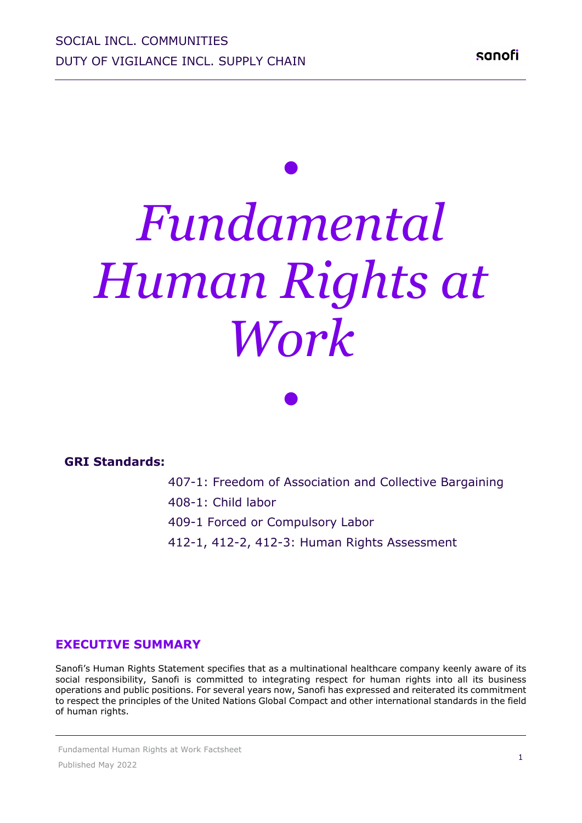# *• Fundamental Human Rights at Work*

*•*

**GRI Standards:**

407-1: Freedom of Association and Collective Bargaining

408-1: Child labor

409-1 Forced or Compulsory Labor

412-1, 412-2, 412-3: Human Rights Assessment

#### **EXECUTIVE SUMMARY**

Sanofi's Human Rights Statement specifies that as a multinational healthcare company keenly aware of its social responsibility, Sanofi is committed to integrating respect for human rights into all its business operations and public positions. For several years now, Sanofi has expressed and reiterated its commitment to respect the principles of the United Nations Global Compact and other international standards in the field of human rights.

Fundamental Human Rights at Work Factsheet Published May 2022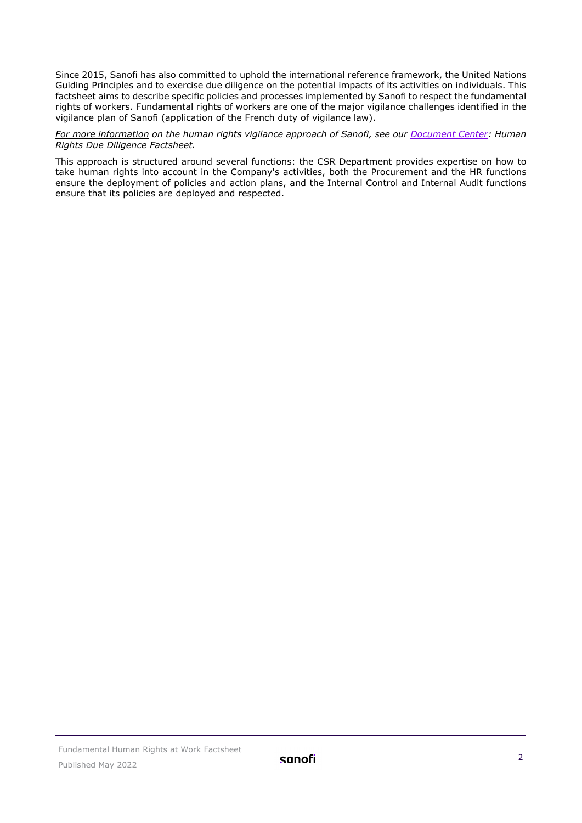Since 2015, Sanofi has also committed to uphold the international reference framework, the United Nations Guiding Principles and to exercise due diligence on the potential impacts of its activities on individuals. This factsheet aims to describe specific policies and processes implemented by Sanofi to respect the fundamental rights of workers. Fundamental rights of workers are one of the major vigilance challenges identified in the vigilance plan of Sanofi (application of the French duty of vigilance law).

*For more information on the human rights vigilance approach of Sanofi, see our [Document Center:](https://www.sanofi.com/en/our-responsibility/documents-center/all-factsheets) Human Rights Due Diligence Factsheet.*

This approach is structured around several functions: the CSR Department provides expertise on how to take human rights into account in the Company's activities, both the Procurement and the HR functions ensure the deployment of policies and action plans, and the Internal Control and Internal Audit functions ensure that its policies are deployed and respected.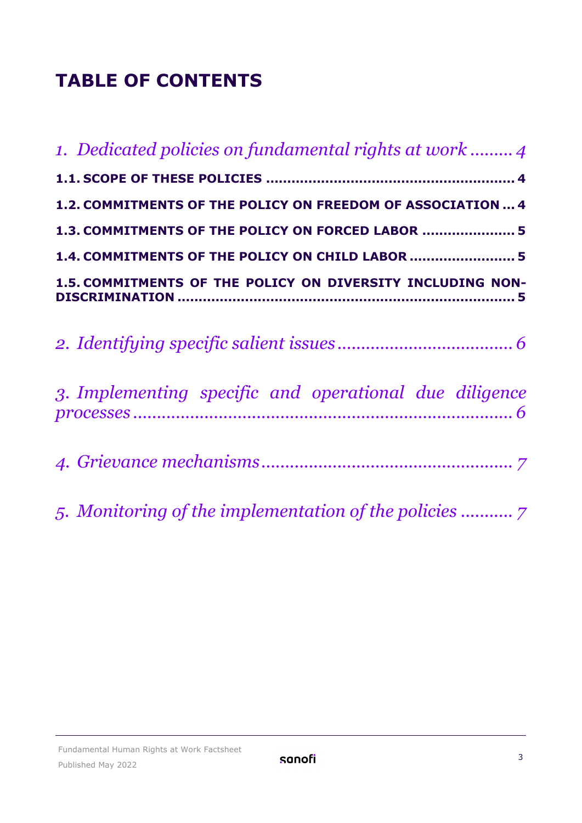# **TABLE OF CONTENTS**

| 1. Dedicated policies on fundamental rights at work  4      |
|-------------------------------------------------------------|
|                                                             |
| 1.2. COMMITMENTS OF THE POLICY ON FREEDOM OF ASSOCIATION  4 |
| 1.3. COMMITMENTS OF THE POLICY ON FORCED LABOR  5           |
| 1.4. COMMITMENTS OF THE POLICY ON CHILD LABOR  5            |
| 1.5. COMMITMENTS OF THE POLICY ON DIVERSITY INCLUDING NON-  |
|                                                             |
| 3. Implementing specific and operational due diligence      |
|                                                             |
|                                                             |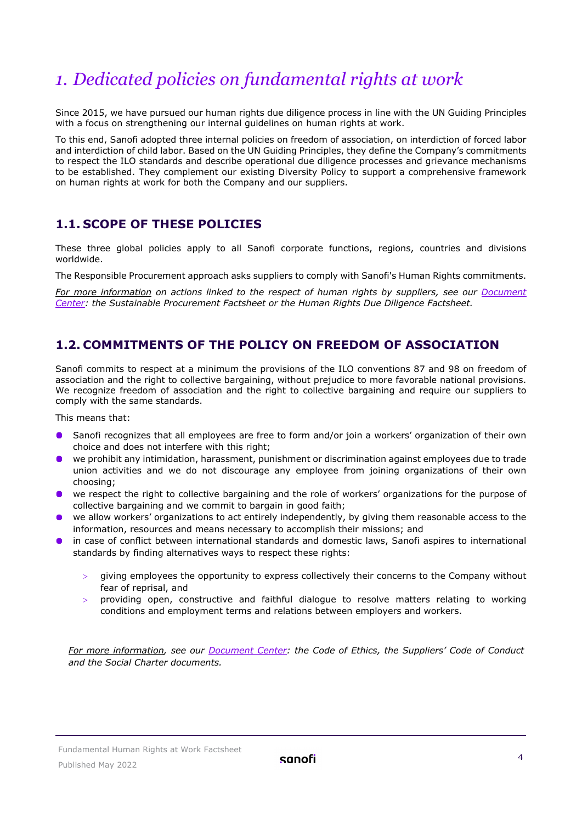# <span id="page-3-0"></span>*1. Dedicated policies on fundamental rights at work*

Since 2015, we have pursued our human rights due diligence process in line with the UN Guiding Principles with a focus on strengthening our internal guidelines on human rights at work.

To this end, Sanofi adopted three internal policies on freedom of association, on interdiction of forced labor and interdiction of child labor. Based on the UN Guiding Principles, they define the Company's commitments to respect the ILO standards and describe operational due diligence processes and grievance mechanisms to be established. They complement our existing Diversity Policy to support a comprehensive framework on human rights at work for both the Company and our suppliers.

#### <span id="page-3-1"></span>**1.1. SCOPE OF THESE POLICIES**

These three global policies apply to all Sanofi corporate functions, regions, countries and divisions worldwide.

The Responsible Procurement approach asks suppliers to comply with Sanofi's Human Rights commitments.

*For more information on actions linked to the respect of human rights by suppliers, see our [Document](https://www.sanofi.com/en/our-responsibility/documents-center/all-factsheets)  [Center:](https://www.sanofi.com/en/our-responsibility/documents-center/all-factsheets) the Sustainable Procurement Factsheet or the Human Rights Due Diligence Factsheet.* 

#### <span id="page-3-2"></span>**1.2. COMMITMENTS OF THE POLICY ON FREEDOM OF ASSOCIATION**

Sanofi commits to respect at a minimum the provisions of the ILO conventions 87 and 98 on freedom of association and the right to collective bargaining, without prejudice to more favorable national provisions. We recognize freedom of association and the right to collective bargaining and require our suppliers to comply with the same standards.

This means that:

- Sanofi recognizes that all employees are free to form and/or join a workers' organization of their own  $\bullet$ choice and does not interfere with this right;
- we prohibit any intimidation, harassment, punishment or discrimination against employees due to trade  $\bullet$ union activities and we do not discourage any employee from joining organizations of their own choosing;
- we respect the right to collective bargaining and the role of workers' organizations for the purpose of collective bargaining and we commit to bargain in good faith;
- we allow workers' organizations to act entirely independently, by giving them reasonable access to the information, resources and means necessary to accomplish their missions; and
- **•** in case of conflict between international standards and domestic laws, Sanofi aspires to international standards by finding alternatives ways to respect these rights:
	- > giving employees the opportunity to express collectively their concerns to the Company without fear of reprisal, and
	- > providing open, constructive and faithful dialogue to resolve matters relating to working conditions and employment terms and relations between employers and workers.

*For more information, see our [Document Center:](https://www.sanofi.com/en/our-responsibility/documents-center/all-factsheets) the Code of Ethics, the Suppliers' Code of Conduct and the Social Charter documents.*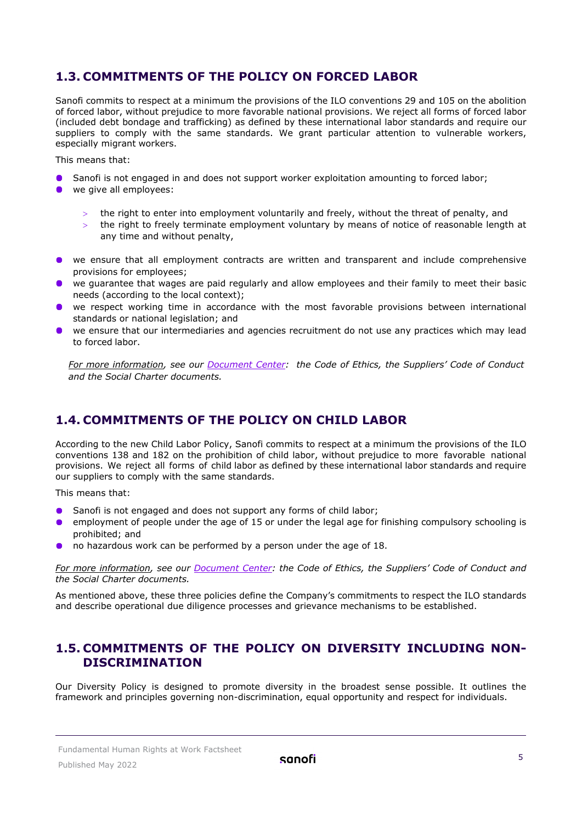#### <span id="page-4-0"></span>**1.3. COMMITMENTS OF THE POLICY ON FORCED LABOR**

Sanofi commits to respect at a minimum the provisions of the ILO conventions 29 and 105 on the abolition of forced labor, without prejudice to more favorable national provisions. We reject all forms of forced labor (included debt bondage and trafficking) as defined by these international labor standards and require our suppliers to comply with the same standards. We grant particular attention to vulnerable workers, especially migrant workers.

This means that:

- Sanofi is not engaged in and does not support worker exploitation amounting to forced labor;
- we give all employees:
	- the right to enter into employment voluntarily and freely, without the threat of penalty, and
	- the right to freely terminate employment voluntary by means of notice of reasonable length at any time and without penalty,
- we ensure that all employment contracts are written and transparent and include comprehensive provisions for employees;
- we guarantee that wages are paid regularly and allow employees and their family to meet their basic needs (according to the local context);
- we respect working time in accordance with the most favorable provisions between international standards or national legislation; and
- we ensure that our intermediaries and agencies recruitment do not use any practices which may lead to forced labor.

*For more information, see our [Document Center:](https://www.sanofi.com/en/our-responsibility/documents-center/all-factsheets) the Code of Ethics, the Suppliers' Code of Conduct and the Social Charter documents.*

#### <span id="page-4-1"></span>**1.4. COMMITMENTS OF THE POLICY ON CHILD LABOR**

According to the new Child Labor Policy, Sanofi commits to respect at a minimum the provisions of the ILO conventions 138 and 182 on the prohibition of child labor, without prejudice to more favorable national provisions. We reject all forms of child labor as defined by these international labor standards and require our suppliers to comply with the same standards.

This means that:

- Sanofi is not engaged and does not support any forms of child labor;
- $\bullet$ employment of people under the age of 15 or under the legal age for finishing compulsory schooling is prohibited; and
- no hazardous work can be performed by a person under the age of 18.

*For more information, see our [Document Center:](https://www.sanofi.com/en/our-responsibility/documents-center/all-factsheets) the Code of Ethics, the Suppliers' Code of Conduct and the Social Charter documents.*

As mentioned above, these three policies define the Company's commitments to respect the ILO standards and describe operational due diligence processes and grievance mechanisms to be established.

#### <span id="page-4-2"></span>**1.5. COMMITMENTS OF THE POLICY ON DIVERSITY INCLUDING NON-DISCRIMINATION**

Our Diversity Policy is designed to promote diversity in the broadest sense possible. It outlines the framework and principles governing non-discrimination, equal opportunity and respect for individuals.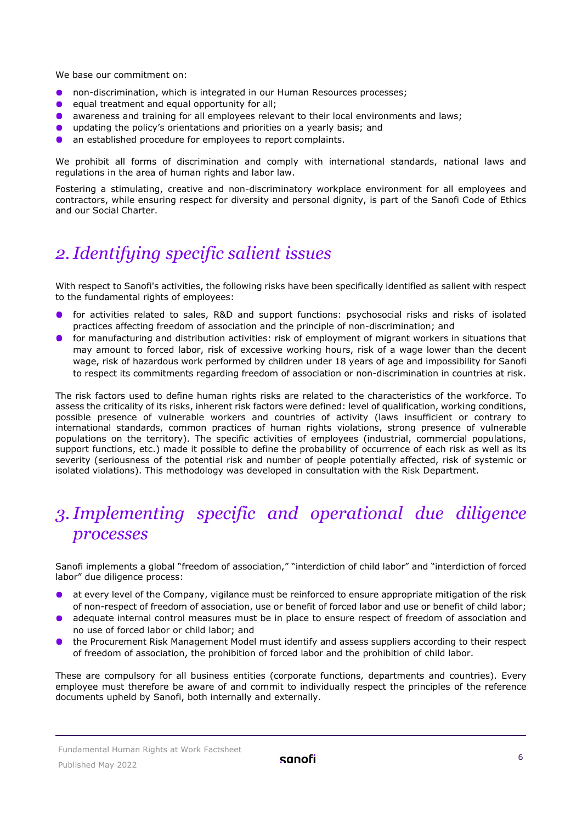We hase our commitment on:

- $\bullet$ non-discrimination, which is integrated in our Human Resources processes;
- equal treatment and equal opportunity for all;  $\bullet$
- $\bullet$ awareness and training for all employees relevant to their local environments and laws;
- $\bullet$ updating the policy's orientations and priorities on a yearly basis; and
- $\bullet$ an established procedure for employees to report complaints.

We prohibit all forms of discrimination and comply with international standards, national laws and regulations in the area of human rights and labor law.

Fostering a stimulating, creative and non-discriminatory workplace environment for all employees and contractors, while ensuring respect for diversity and personal dignity, is part of the Sanofi Code of Ethics and our Social Charter.

# <span id="page-5-0"></span>*2.Identifying specific salient issues*

With respect to Sanofi's activities, the following risks have been specifically identified as salient with respect to the fundamental rights of employees:

- $\bullet$ for activities related to sales, R&D and support functions: psychosocial risks and risks of isolated practices affecting freedom of association and the principle of non-discrimination; and
- for manufacturing and distribution activities: risk of employment of migrant workers in situations that may amount to forced labor, risk of excessive working hours, risk of a wage lower than the decent wage, risk of hazardous work performed by children under 18 years of age and impossibility for Sanofi to respect its commitments regarding freedom of association or non-discrimination in countries at risk.

The risk factors used to define human rights risks are related to the characteristics of the workforce. To assess the criticality of its risks, inherent risk factors were defined: level of qualification, working conditions, possible presence of vulnerable workers and countries of activity (laws insufficient or contrary to international standards, common practices of human rights violations, strong presence of vulnerable populations on the territory). The specific activities of employees (industrial, commercial populations, support functions, etc.) made it possible to define the probability of occurrence of each risk as well as its severity (seriousness of the potential risk and number of people potentially affected, risk of systemic or isolated violations). This methodology was developed in consultation with the Risk Department.

# <span id="page-5-1"></span>*3.Implementing specific and operational due diligence processes*

Sanofi implements a global "freedom of association," "interdiction of child labor" and "interdiction of forced labor" due diligence process:

- at every level of the Company, vigilance must be reinforced to ensure appropriate mitigation of the risk of non-respect of freedom of association, use or benefit of forced labor and use or benefit of child labor;
- adequate internal control measures must be in place to ensure respect of freedom of association and no use of forced labor or child labor; and
- the Procurement Risk Management Model must identify and assess suppliers according to their respect of freedom of association, the prohibition of forced labor and the prohibition of child labor.

These are compulsory for all business entities (corporate functions, departments and countries). Every employee must therefore be aware of and commit to individually respect the principles of the reference documents upheld by Sanofi, both internally and externally.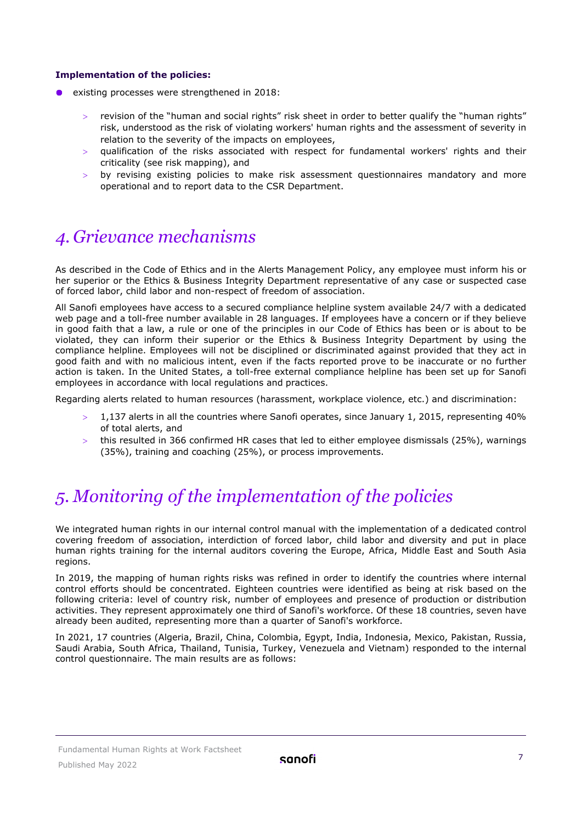#### **Implementation of the policies:**

- $\bullet$ existing processes were strengthened in 2018:
	- > revision of the "human and social rights" risk sheet in order to better qualify the "human rights" risk, understood as the risk of violating workers' human rights and the assessment of severity in relation to the severity of the impacts on employees,
	- qualification of the risks associated with respect for fundamental workers' rights and their criticality (see risk mapping), and
	- by revising existing policies to make risk assessment questionnaires mandatory and more operational and to report data to the CSR Department.

### <span id="page-6-0"></span>*4. Grievance mechanisms*

As described in the Code of Ethics and in the Alerts Management Policy, any employee must inform his or her superior or the Ethics & Business Integrity Department representative of any case or suspected case of forced labor, child labor and non-respect of freedom of association.

All Sanofi employees have access to a secured compliance helpline system available 24/7 with a dedicated web page and a toll-free number available in 28 languages. If employees have a concern or if they believe in good faith that a law, a rule or one of the principles in our [Code of Ethics](http://en.sanofi.com/csr/ethics/code_of_ethics.aspx) has been or is about to be violated, they can inform their superior or the Ethics & Business Integrity Department by using the [compliance helpline.](http://mysanofi.sanofi.com/sites/Global-Compliance/Pages/1kosJS3N/Contact_EN.aspx) Employees will not be disciplined or discriminated against provided that they act in good faith and with no malicious intent, even if the facts reported prove to be inaccurate or no further action is taken. In the United States, a toll-free external compliance helpline has been set up for Sanofi employees in accordance with local regulations and practices.

Regarding alerts related to human resources (harassment, workplace violence, etc.) and discrimination:

- > 1,137 alerts in all the countries where Sanofi operates, since January 1, 2015, representing 40% of total alerts, and
- $>$  this resulted in 366 confirmed HR cases that led to either employee dismissals (25%), warnings (35%), training and coaching (25%), or process improvements.

## <span id="page-6-1"></span>*5. Monitoring of the implementation of the policies*

We integrated human rights in our internal control manual with the implementation of a dedicated control covering freedom of association, interdiction of forced labor, child labor and diversity and put in place human rights training for the internal auditors covering the Europe, Africa, Middle East and South Asia regions.

In 2019, the mapping of human rights risks was refined in order to identify the countries where internal control efforts should be concentrated. Eighteen countries were identified as being at risk based on the following criteria: level of country risk, number of employees and presence of production or distribution activities. They represent approximately one third of Sanofi's workforce. Of these 18 countries, seven have already been audited, representing more than a quarter of Sanofi's workforce.

In 2021, 17 countries (Algeria, Brazil, China, Colombia, Egypt, India, Indonesia, Mexico, Pakistan, Russia, Saudi Arabia, South Africa, Thailand, Tunisia, Turkey, Venezuela and Vietnam) responded to the internal control questionnaire. The main results are as follows: